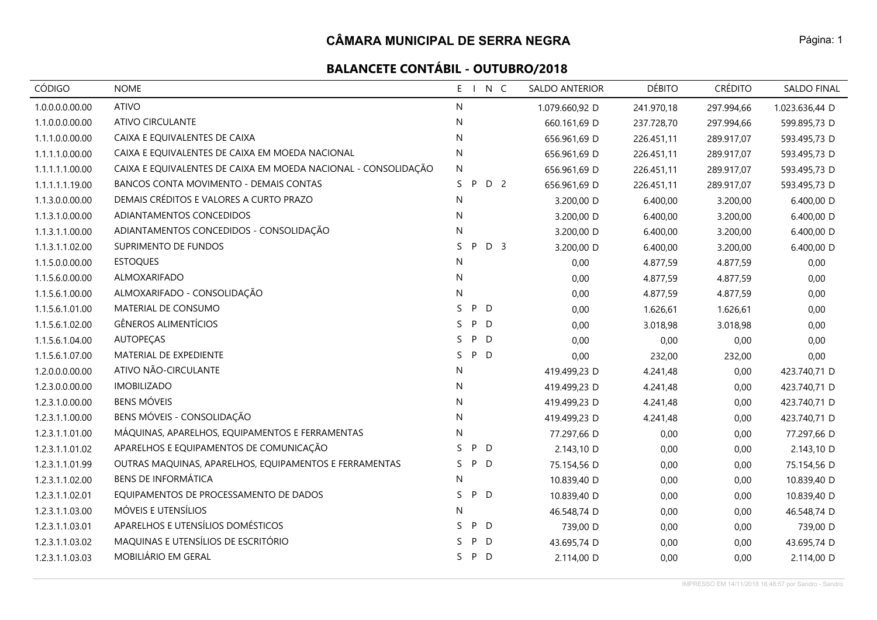# **BALANCETE CONTÁBIL - OUTUBRO/2018**

| <b>CÓDIGO</b>   | <b>NOME</b>                                                    | $E - 1$<br>N C            | <b>SALDO ANTERIOR</b> | <b>DÉBITO</b> | <b>CRÉDITO</b> | <b>SALDO FINAL</b> |
|-----------------|----------------------------------------------------------------|---------------------------|-----------------------|---------------|----------------|--------------------|
| 1.0.0.0.0.00.00 | <b>ATIVO</b>                                                   | N                         | 1.079.660,92 D        | 241.970,18    | 297.994,66     | 1.023.636,44 D     |
| 1.1.0.0.0.00.00 | ATIVO CIRCULANTE                                               | ${\sf N}$                 | 660.161,69 D          | 237.728,70    | 297.994,66     | 599.895,73 D       |
| 1.1.1.0.0.00.00 | CAIXA E EQUIVALENTES DE CAIXA                                  | N                         | 656.961,69 D          | 226.451,11    | 289.917,07     | 593.495,73 D       |
| 1.1.1.1.0.00.00 | CAIXA E EQUIVALENTES DE CAIXA EM MOEDA NACIONAL                | N                         | 656.961,69 D          | 226.451,11    | 289.917,07     | 593.495,73 D       |
| 1.1.1.1.1.00.00 | CAIXA E EQUIVALENTES DE CAIXA EM MOEDA NACIONAL - CONSOLIDAÇÃO | ${\sf N}$                 | 656.961,69 D          | 226.451,11    | 289.917,07     | 593.495,73 D       |
| 1.1.1.1.1.19.00 | <b>BANCOS CONTA MOVIMENTO - DEMAIS CONTAS</b>                  | D 2<br>S.<br>P            | 656.961,69 D          | 226.451,11    | 289.917,07     | 593.495,73 D       |
| 1.1.3.0.0.00.00 | DEMAIS CRÉDITOS E VALORES A CURTO PRAZO                        | N                         | 3.200,00 D            | 6.400,00      | 3.200,00       | 6.400,00 D         |
| 1.1.3.1.0.00.00 | ADIANTAMENTOS CONCEDIDOS                                       | N                         | 3.200,00 D            | 6.400,00      | 3.200,00       | 6.400,00 D         |
| 1.1.3.1.1.00.00 | ADIANTAMENTOS CONCEDIDOS - CONSOLIDAÇÃO                        | N                         | 3.200,00 D            | 6.400,00      | 3.200,00       | 6.400,00 D         |
| 1.1.3.1.1.02.00 | SUPRIMENTO DE FUNDOS                                           | D <sub>3</sub><br>S.<br>P | 3.200,00 D            | 6.400,00      | 3.200,00       | 6.400,00 D         |
| 1.1.5.0.0.00.00 | <b>ESTOQUES</b>                                                | N                         | 0,00                  | 4.877,59      | 4.877,59       | 0,00               |
| 1.1.5.6.0.00.00 | ALMOXARIFADO                                                   | N                         | 0,00                  | 4.877,59      | 4.877,59       | 0,00               |
| 1.1.5.6.1.00.00 | ALMOXARIFADO - CONSOLIDAÇÃO                                    | N                         | 0,00                  | 4.877,59      | 4.877,59       | 0,00               |
| 1.1.5.6.1.01.00 | MATERIAL DE CONSUMO                                            | P D<br>S.                 | 0,00                  | 1.626,61      | 1.626,61       | 0,00               |
| 1.1.5.6.1.02.00 | <b>GÊNEROS ALIMENTÍCIOS</b>                                    | P<br>S.<br>D              | 0,00                  | 3.018,98      | 3.018,98       | 0,00               |
| 1.1.5.6.1.04.00 | <b>AUTOPEÇAS</b>                                               | P<br>D<br>S.              | 0,00                  | 0,00          | 0,00           | 0,00               |
| 1.1.5.6.1.07.00 | MATERIAL DE EXPEDIENTE                                         | S.<br>P<br>D              | 0,00                  | 232,00        | 232,00         | 0,00               |
| 1.2.0.0.0.00.00 | ATIVO NÃO-CIRCULANTE                                           | N                         | 419.499,23 D          | 4.241,48      | 0,00           | 423.740,71 D       |
| 1.2.3.0.0.00.00 | <b>IMOBILIZADO</b>                                             | N                         | 419.499,23 D          | 4.241,48      | 0,00           | 423.740,71 D       |
| 1.2.3.1.0.00.00 | <b>BENS MÓVEIS</b>                                             | N                         | 419.499,23 D          | 4.241,48      | 0,00           | 423.740,71 D       |
| 1.2.3.1.1.00.00 | BENS MÓVEIS - CONSOLIDAÇÃO                                     | N                         | 419.499,23 D          | 4.241,48      | 0,00           | 423.740,71 D       |
| 1.2.3.1.1.01.00 | MÁQUINAS, APARELHOS, EQUIPAMENTOS E FERRAMENTAS                | N                         | 77.297,66 D           | 0,00          | 0,00           | 77.297,66 D        |
| 1.2.3.1.1.01.02 | APARELHOS E EQUIPAMENTOS DE COMUNICAÇÃO                        | S<br>P<br>D               | 2.143,10 D            | 0,00          | 0,00           | 2.143,10 D         |
| 1.2.3.1.1.01.99 | OUTRAS MAQUINAS, APARELHOS, EQUIPAMENTOS E FERRAMENTAS         | P<br>S.<br>D              | 75.154,56 D           | 0,00          | 0,00           | 75.154,56 D        |
| 1.2.3.1.1.02.00 | <b>BENS DE INFORMÁTICA</b>                                     | N                         | 10.839,40 D           | 0,00          | 0,00           | 10.839,40 D        |
| 1.2.3.1.1.02.01 | EQUIPAMENTOS DE PROCESSAMENTO DE DADOS                         | S<br>P D                  | 10.839,40 D           | 0,00          | 0,00           | 10.839,40 D        |
| 1.2.3.1.1.03.00 | MÓVEIS E UTENSÍLIOS                                            | N                         | 46.548,74 D           | 0,00          | 0,00           | 46.548,74 D        |
| 1.2.3.1.1.03.01 | APARELHOS E UTENSÍLIOS DOMÉSTICOS                              | P<br>S.<br>D              | 739,00 D              | 0,00          | 0,00           | 739,00 D           |
| 1.2.3.1.1.03.02 | MAQUINAS E UTENSÍLIOS DE ESCRITÓRIO                            | P<br>D<br>S               | 43.695,74 D           | 0,00          | 0,00           | 43.695,74 D        |
| 1.2.3.1.1.03.03 | MOBILIÁRIO EM GERAL                                            | S.<br>P<br>D              | 2.114,00 D            | 0,00          | 0,00           | 2.114,00 D         |

Página: 1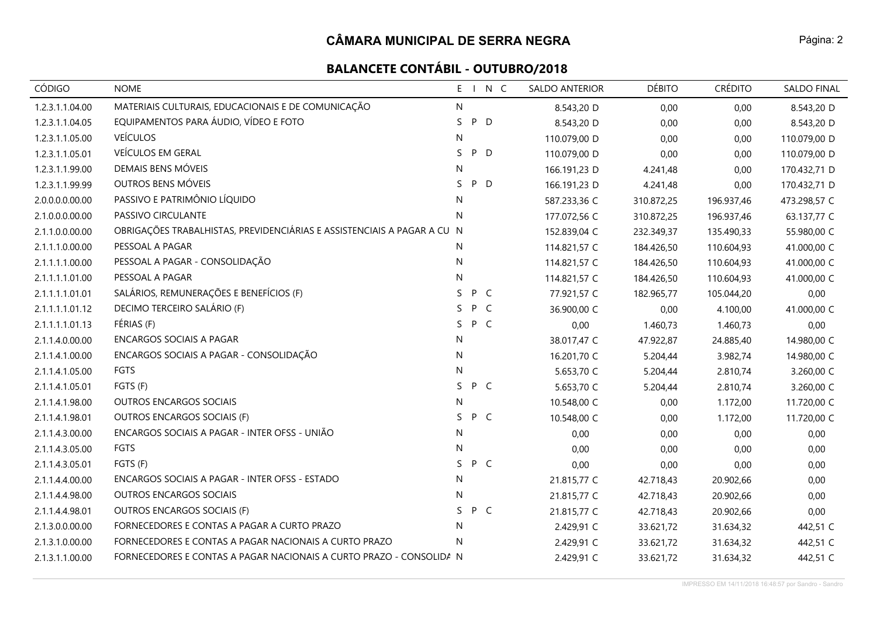| <b>CÓDIGO</b>   | <b>NOME</b>                                                             | E  |     | N C          | <b>SALDO ANTERIOR</b> | <b>DÉBITO</b> | <b>CRÉDITO</b> | <b>SALDO FINAL</b> |
|-----------------|-------------------------------------------------------------------------|----|-----|--------------|-----------------------|---------------|----------------|--------------------|
| 1.2.3.1.1.04.00 | MATERIAIS CULTURAIS, EDUCACIONAIS E DE COMUNICAÇÃO                      | N  |     |              | 8.543,20 D            | 0,00          | 0,00           | 8.543,20 D         |
| 1.2.3.1.1.04.05 | EQUIPAMENTOS PARA ÁUDIO, VÍDEO E FOTO                                   | S. | P   | D            | 8.543,20 D            | 0,00          | 0,00           | 8.543,20 D         |
| 1.2.3.1.1.05.00 | <b>VEÍCULOS</b>                                                         | N  |     |              | 110.079,00 D          | 0,00          | 0,00           | 110.079,00 D       |
| 1.2.3.1.1.05.01 | VEÍCULOS EM GERAL                                                       | S. | P D |              | 110.079,00 D          | 0,00          | 0,00           | 110.079,00 D       |
| 1.2.3.1.1.99.00 | DEMAIS BENS MÓVEIS                                                      | N  |     |              | 166.191,23 D          | 4.241,48      | 0,00           | 170.432,71 D       |
| 1.2.3.1.1.99.99 | OUTROS BENS MÓVEIS                                                      | S  | P   | D            | 166.191,23 D          | 4.241,48      | 0,00           | 170.432,71 D       |
| 2.0.0.0.0.00.00 | PASSIVO E PATRIMÔNIO LÍQUIDO                                            | N  |     |              | 587.233,36 C          | 310.872,25    | 196.937,46     | 473.298,57 C       |
| 2.1.0.0.0.00.00 | PASSIVO CIRCULANTE                                                      | N  |     |              | 177.072,56 C          | 310.872,25    | 196.937,46     | 63.137,77 C        |
| 2.1.1.0.0.00.00 | OBRIGAÇÕES TRABALHISTAS, PREVIDENCIÁRIAS E ASSISTENCIAIS A PAGAR A CU N |    |     |              | 152.839,04 C          | 232.349,37    | 135.490,33     | 55.980,00 C        |
| 2.1.1.1.0.00.00 | PESSOAL A PAGAR                                                         | N  |     |              | 114.821,57 C          | 184.426,50    | 110.604,93     | 41.000,00 C        |
| 2.1.1.1.1.00.00 | PESSOAL A PAGAR - CONSOLIDAÇÃO                                          | N  |     |              | 114.821,57 C          | 184.426,50    | 110.604,93     | 41.000,00 C        |
| 2.1.1.1.1.01.00 | PESSOAL A PAGAR                                                         | N  |     |              | 114.821,57 C          | 184.426,50    | 110.604,93     | 41.000,00 C        |
| 2.1.1.1.1.01.01 | SALÁRIOS, REMUNERAÇÕES E BENEFÍCIOS (F)                                 | S. | P C |              | 77.921,57 C           | 182.965,77    | 105.044,20     | 0,00               |
| 2.1.1.1.1.01.12 | DECIMO TERCEIRO SALÁRIO (F)                                             | S  | P   | $\mathsf{C}$ | 36.900,00 C           | 0,00          | 4.100,00       | 41.000,00 C        |
| 2.1.1.1.1.01.13 | FÉRIAS (F)                                                              | S  | P C |              | 0,00                  | 1.460,73      | 1.460,73       | 0,00               |
| 2.1.1.4.0.00.00 | <b>ENCARGOS SOCIAIS A PAGAR</b>                                         | N  |     |              | 38.017,47 C           | 47.922,87     | 24.885,40      | 14.980,00 C        |
| 2.1.1.4.1.00.00 | ENCARGOS SOCIAIS A PAGAR - CONSOLIDAÇÃO                                 | N  |     |              | 16.201,70 C           | 5.204,44      | 3.982,74       | 14.980,00 C        |
| 2.1.1.4.1.05.00 | FGTS                                                                    | N  |     |              | 5.653,70 C            | 5.204,44      | 2.810,74       | 3.260,00 C         |
| 2.1.1.4.1.05.01 | FGTS (F)                                                                | S. | P C |              | 5.653,70 C            | 5.204,44      | 2.810,74       | 3.260,00 C         |
| 2.1.1.4.1.98.00 | OUTROS ENCARGOS SOCIAIS                                                 | N  |     |              | 10.548,00 C           | 0,00          | 1.172,00       | 11.720,00 C        |
| 2.1.1.4.1.98.01 | OUTROS ENCARGOS SOCIAIS (F)                                             | S  | P C |              | 10.548,00 C           | 0,00          | 1.172,00       | 11.720,00 C        |
| 2.1.1.4.3.00.00 | ENCARGOS SOCIAIS A PAGAR - INTER OFSS - UNIÃO                           | N  |     |              | 0,00                  | 0,00          | 0,00           | 0,00               |
| 2.1.1.4.3.05.00 | <b>FGTS</b>                                                             | N  |     |              | 0,00                  | 0,00          | 0,00           | 0,00               |
| 2.1.1.4.3.05.01 | FGTS (F)                                                                | S. | P C |              | 0,00                  | 0,00          | 0,00           | 0,00               |
| 2.1.1.4.4.00.00 | ENCARGOS SOCIAIS A PAGAR - INTER OFSS - ESTADO                          | N  |     |              | 21.815,77 C           | 42.718,43     | 20.902,66      | 0,00               |
| 2.1.1.4.4.98.00 | <b>OUTROS ENCARGOS SOCIAIS</b>                                          | N  |     |              | 21.815,77 C           | 42.718,43     | 20.902,66      | 0,00               |
| 2.1.1.4.4.98.01 | OUTROS ENCARGOS SOCIAIS (F)                                             | S. | P C |              | 21.815,77 C           | 42.718,43     | 20.902,66      | 0,00               |
| 2.1.3.0.0.00.00 | FORNECEDORES E CONTAS A PAGAR A CURTO PRAZO                             | N  |     |              | 2.429,91 C            | 33.621,72     | 31.634,32      | 442,51 C           |
| 2.1.3.1.0.00.00 | FORNECEDORES E CONTAS A PAGAR NACIONAIS A CURTO PRAZO                   | N  |     |              | 2.429,91 C            | 33.621,72     | 31.634,32      | 442,51 C           |
| 2.1.3.1.1.00.00 | FORNECEDORES E CONTAS A PAGAR NACIONAIS A CURTO PRAZO - CONSOLIDA N     |    |     |              | 2.429,91 C            | 33.621,72     | 31.634,32      | 442,51 C           |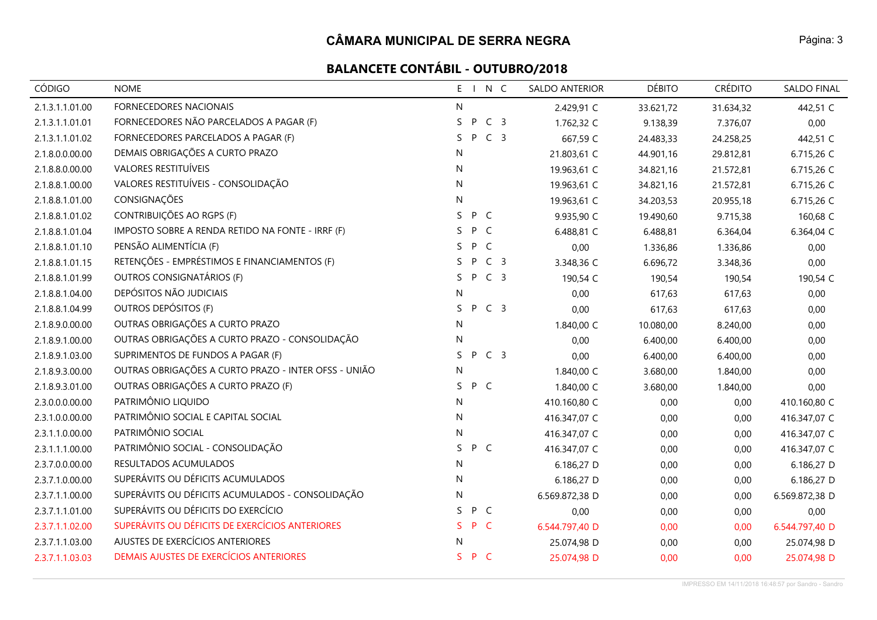# **BALANCETE CONTÁBIL - OUTUBRO/2018**

| <b>CÓDIGO</b>   | <b>NOME</b>                                          | $E_{\perp}$ |     | N C            | <b>SALDO ANTERIOR</b> | <b>DÉBITO</b> | <b>CRÉDITO</b> | <b>SALDO FINAL</b> |
|-----------------|------------------------------------------------------|-------------|-----|----------------|-----------------------|---------------|----------------|--------------------|
| 2.1.3.1.1.01.00 | FORNECEDORES NACIONAIS                               | N           |     |                | 2.429,91 C            | 33.621,72     | 31.634,32      | 442,51 C           |
| 2.1.3.1.1.01.01 | FORNECEDORES NÃO PARCELADOS A PAGAR (F)              | S           | P   | C <sub>3</sub> | 1.762,32 C            | 9.138,39      | 7.376,07       | 0,00               |
| 2.1.3.1.1.01.02 | FORNECEDORES PARCELADOS A PAGAR (F)                  | S.          | P   | C <sub>3</sub> | 667,59 C              | 24.483,33     | 24.258,25      | 442,51 C           |
| 2.1.8.0.0.00.00 | DEMAIS OBRIGAÇÕES A CURTO PRAZO                      | N           |     |                | 21.803,61 C           | 44.901,16     | 29.812,81      | 6.715,26 C         |
| 2.1.8.8.0.00.00 | VALORES RESTITUÍVEIS                                 | N           |     |                | 19.963,61 C           | 34.821,16     | 21.572,81      | 6.715,26 C         |
| 2.1.8.8.1.00.00 | VALORES RESTITUÍVEIS - CONSOLIDAÇÃO                  | N           |     |                | 19.963,61 C           | 34.821,16     | 21.572,81      | 6.715,26 C         |
| 2.1.8.8.1.01.00 | CONSIGNAÇÕES                                         | ${\sf N}$   |     |                | 19.963,61 C           | 34.203,53     | 20.955,18      | 6.715,26 C         |
| 2.1.8.8.1.01.02 | CONTRIBUIÇÕES AO RGPS (F)                            | S.          | P C |                | 9.935,90 C            | 19.490,60     | 9.715,38       | 160,68 C           |
| 2.1.8.8.1.01.04 | IMPOSTO SOBRE A RENDA RETIDO NA FONTE - IRRF (F)     | S.          | P   | $\mathsf{C}$   | 6.488,81 C            | 6.488,81      | 6.364,04       | 6.364,04 C         |
| 2.1.8.8.1.01.10 | PENSÃO ALIMENTÍCIA (F)                               | S           | P   | $\mathsf{C}$   | 0,00                  | 1.336,86      | 1.336,86       | 0,00               |
| 2.1.8.8.1.01.15 | RETENÇÕES - EMPRÉSTIMOS E FINANCIAMENTOS (F)         | S.          | P   | C <sub>3</sub> | 3.348,36 C            | 6.696,72      | 3.348,36       | 0,00               |
| 2.1.8.8.1.01.99 | OUTROS CONSIGNATÁRIOS (F)                            | S.          | P.  | C <sub>3</sub> | 190,54 C              | 190,54        | 190,54         | 190,54 C           |
| 2.1.8.8.1.04.00 | DEPÓSITOS NÃO JUDICIAIS                              | N           |     |                | 0,00                  | 617,63        | 617,63         | 0,00               |
| 2.1.8.8.1.04.99 | OUTROS DEPÓSITOS (F)                                 | S.          | P   | C <sub>3</sub> | 0,00                  | 617,63        | 617,63         | 0,00               |
| 2.1.8.9.0.00.00 | OUTRAS OBRIGAÇÕES A CURTO PRAZO                      | ${\sf N}$   |     |                | 1.840,00 C            | 10.080,00     | 8.240,00       | 0,00               |
| 2.1.8.9.1.00.00 | OUTRAS OBRIGAÇÕES A CURTO PRAZO - CONSOLIDAÇÃO       | N           |     |                | 0,00                  | 6.400,00      | 6.400,00       | 0,00               |
| 2.1.8.9.1.03.00 | SUPRIMENTOS DE FUNDOS A PAGAR (F)                    | S.          | P   | C <sub>3</sub> | 0,00                  | 6.400,00      | 6.400,00       | 0,00               |
| 2.1.8.9.3.00.00 | OUTRAS OBRIGAÇÕES A CURTO PRAZO - INTER OFSS - UNIÃO | N           |     |                | 1.840,00 C            | 3.680,00      | 1.840,00       | 0,00               |
| 2.1.8.9.3.01.00 | OUTRAS OBRIGAÇÕES A CURTO PRAZO (F)                  | S.          | P C |                | 1.840,00 C            | 3.680,00      | 1.840,00       | 0,00               |
| 2.3.0.0.0.00.00 | PATRIMÔNIO LIQUIDO                                   | N           |     |                | 410.160,80 C          | 0,00          | 0,00           | 410.160,80 C       |
| 2.3.1.0.0.00.00 | PATRIMÔNIO SOCIAL E CAPITAL SOCIAL                   | N           |     |                | 416.347,07 C          | 0,00          | 0,00           | 416.347,07 C       |
| 2.3.1.1.0.00.00 | PATRIMÔNIO SOCIAL                                    | N           |     |                | 416.347,07 C          | 0,00          | 0,00           | 416.347,07 C       |
| 2.3.1.1.1.00.00 | PATRIMÔNIO SOCIAL - CONSOLIDAÇÃO                     | S.          | P C |                | 416.347,07 C          | 0,00          | 0,00           | 416.347,07 C       |
| 2.3.7.0.0.00.00 | RESULTADOS ACUMULADOS                                | N           |     |                | 6.186,27 D            | 0,00          | 0,00           | 6.186,27 D         |
| 2.3.7.1.0.00.00 | SUPERÁVITS OU DÉFICITS ACUMULADOS                    | N           |     |                | 6.186,27 D            | 0,00          | 0,00           | 6.186,27 D         |
| 2.3.7.1.1.00.00 | SUPERÁVITS OU DÉFICITS ACUMULADOS - CONSOLIDAÇÃO     | N           |     |                | 6.569.872,38 D        | 0,00          | 0,00           | 6.569.872,38 D     |
| 2.3.7.1.1.01.00 | SUPERÁVITS OU DÉFICITS DO EXERCÍCIO                  | S.          | P C |                | 0,00                  | 0,00          | 0,00           | 0,00               |
| 2.3.7.1.1.02.00 | SUPERÁVITS OU DÉFICITS DE EXERCÍCIOS ANTERIORES      | S.          | P C |                | 6.544.797,40 D        | 0,00          | 0,00           | 6.544.797,40 D     |
| 2.3.7.1.1.03.00 | AJUSTES DE EXERCÍCIOS ANTERIORES                     | N           |     |                | 25.074,98 D           | 0,00          | 0,00           | 25.074,98 D        |
| 2.3.7.1.1.03.03 | DEMAIS AJUSTES DE EXERCÍCIOS ANTERIORES              | S.          | P C |                | 25.074,98 D           | 0,00          | 0,00           | 25.074,98 D        |

Página: 3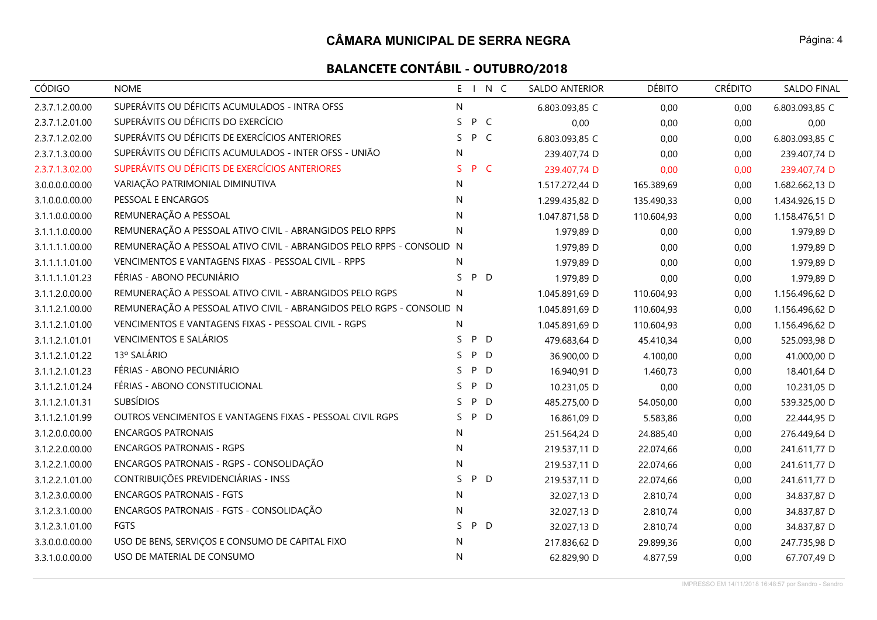| <b>CÓDIGO</b>   | <b>NOME</b>                                                            |    |     | E I N C | <b>SALDO ANTERIOR</b> | <b>DÉBITO</b> | <b>CRÉDITO</b> | <b>SALDO FINAL</b> |
|-----------------|------------------------------------------------------------------------|----|-----|---------|-----------------------|---------------|----------------|--------------------|
| 2.3.7.1.2.00.00 | SUPERÁVITS OU DÉFICITS ACUMULADOS - INTRA OFSS                         | N  |     |         | 6.803.093,85 C        | 0,00          | 0,00           | 6.803.093,85 C     |
| 2.3.7.1.2.01.00 | SUPERÁVITS OU DÉFICITS DO EXERCÍCIO                                    | S. | P C |         | 0,00                  | 0,00          | 0,00           | 0,00               |
| 2.3.7.1.2.02.00 | SUPERÁVITS OU DÉFICITS DE EXERCÍCIOS ANTERIORES                        | S. | P C |         | 6.803.093,85 C        | 0,00          | 0,00           | 6.803.093,85 C     |
| 2.3.7.1.3.00.00 | SUPERÁVITS OU DÉFICITS ACUMULADOS - INTER OFSS - UNIÃO                 | N  |     |         | 239.407,74 D          | 0,00          | 0,00           | 239.407,74 D       |
| 2.3.7.1.3.02.00 | SUPERÁVITS OU DÉFICITS DE EXERCÍCIOS ANTERIORES                        | S  | P C |         | 239.407,74 D          | 0,00          | 0,00           | 239.407,74 D       |
| 3.0.0.0.0.00.00 | VARIAÇÃO PATRIMONIAL DIMINUTIVA                                        | N  |     |         | 1.517.272,44 D        | 165.389,69    | 0,00           | 1.682.662,13 D     |
| 3.1.0.0.0.00.00 | PESSOAL E ENCARGOS                                                     | N  |     |         | 1.299.435,82 D        | 135.490,33    | 0,00           | 1.434.926,15 D     |
| 3.1.1.0.0.00.00 | REMUNERAÇÃO A PESSOAL                                                  | N  |     |         | 1.047.871,58 D        | 110.604,93    | 0,00           | 1.158.476,51 D     |
| 3.1.1.1.0.00.00 | REMUNERAÇÃO A PESSOAL ATIVO CIVIL - ABRANGIDOS PELO RPPS               | N  |     |         | 1.979,89 D            | 0,00          | 0,00           | 1.979,89 D         |
| 3.1.1.1.1.00.00 | REMUNERAÇÃO A PESSOAL ATIVO CIVIL - ABRANGIDOS PELO RPPS - CONSOLID. N |    |     |         | 1.979,89 D            | 0,00          | 0,00           | 1.979,89 D         |
| 3.1.1.1.1.01.00 | VENCIMENTOS E VANTAGENS FIXAS - PESSOAL CIVIL - RPPS                   | N  |     |         | 1.979,89 D            | 0,00          | 0,00           | 1.979,89 D         |
| 3.1.1.1.1.01.23 | FÉRIAS - ABONO PECUNIÁRIO                                              | S. | P D |         | 1.979,89 D            | 0,00          | 0,00           | 1.979,89 D         |
| 3.1.1.2.0.00.00 | REMUNERAÇÃO A PESSOAL ATIVO CIVIL - ABRANGIDOS PELO RGPS               | N  |     |         | 1.045.891,69 D        | 110.604,93    | 0,00           | 1.156.496,62 D     |
| 3.1.1.2.1.00.00 | REMUNERAÇÃO A PESSOAL ATIVO CIVIL - ABRANGIDOS PELO RGPS - CONSOLID N  |    |     |         | 1.045.891,69 D        | 110.604,93    | 0,00           | 1.156.496,62 D     |
| 3.1.1.2.1.01.00 | VENCIMENTOS E VANTAGENS FIXAS - PESSOAL CIVIL - RGPS                   | N  |     |         | 1.045.891,69 D        | 110.604,93    | 0,00           | 1.156.496,62 D     |
| 3.1.1.2.1.01.01 | <b>VENCIMENTOS E SALÁRIOS</b>                                          | S. | P D |         | 479.683,64 D          | 45.410,34     | 0,00           | 525.093,98 D       |
| 3.1.1.2.1.01.22 | 13º SALÁRIO                                                            | S  | P D |         | 36.900,00 D           | 4.100,00      | 0,00           | 41.000,00 D        |
| 3.1.1.2.1.01.23 | FÉRIAS - ABONO PECUNIÁRIO                                              | S. | P D |         | 16.940,91 D           | 1.460,73      | 0,00           | 18.401,64 D        |
| 3.1.1.2.1.01.24 | FÉRIAS - ABONO CONSTITUCIONAL                                          | S. | P D |         | 10.231,05 D           | 0,00          | 0,00           | 10.231,05 D        |
| 3.1.1.2.1.01.31 | <b>SUBSÍDIOS</b>                                                       | S. | P   | D       | 485.275,00 D          | 54.050,00     | 0,00           | 539.325,00 D       |
| 3.1.1.2.1.01.99 | OUTROS VENCIMENTOS E VANTAGENS FIXAS - PESSOAL CIVIL RGPS              | S. | P D |         | 16.861,09 D           | 5.583,86      | 0,00           | 22.444,95 D        |
| 3.1.2.0.0.00.00 | <b>ENCARGOS PATRONAIS</b>                                              | N  |     |         | 251.564,24 D          | 24.885,40     | 0,00           | 276.449,64 D       |
| 3.1.2.2.0.00.00 | <b>ENCARGOS PATRONAIS - RGPS</b>                                       | N  |     |         | 219.537,11 D          | 22.074,66     | 0,00           | 241.611,77 D       |
| 3.1.2.2.1.00.00 | ENCARGOS PATRONAIS - RGPS - CONSOLIDAÇÃO                               | N  |     |         | 219.537,11 D          | 22.074,66     | 0,00           | 241.611,77 D       |
| 3.1.2.2.1.01.00 | CONTRIBUIÇÕES PREVIDENCIÁRIAS - INSS                                   | S. | P D |         | 219.537,11 D          | 22.074,66     | 0,00           | 241.611,77 D       |
| 3.1.2.3.0.00.00 | <b>ENCARGOS PATRONAIS - FGTS</b>                                       | N  |     |         | 32.027,13 D           | 2.810,74      | 0,00           | 34.837,87 D        |
| 3.1.2.3.1.00.00 | ENCARGOS PATRONAIS - FGTS - CONSOLIDAÇÃO                               | N  |     |         | 32.027,13 D           | 2.810,74      | 0,00           | 34.837,87 D        |
| 3.1.2.3.1.01.00 | <b>FGTS</b>                                                            | S. | P D |         | 32.027,13 D           | 2.810,74      | 0,00           | 34.837,87 D        |
| 3.3.0.0.0.00.00 | USO DE BENS, SERVIÇOS E CONSUMO DE CAPITAL FIXO                        | N  |     |         | 217.836,62 D          | 29.899,36     | 0,00           | 247.735,98 D       |
| 3.3.1.0.0.00.00 | USO DE MATERIAL DE CONSUMO                                             | N  |     |         | 62.829,90 D           | 4.877,59      | 0,00           | 67.707,49 D        |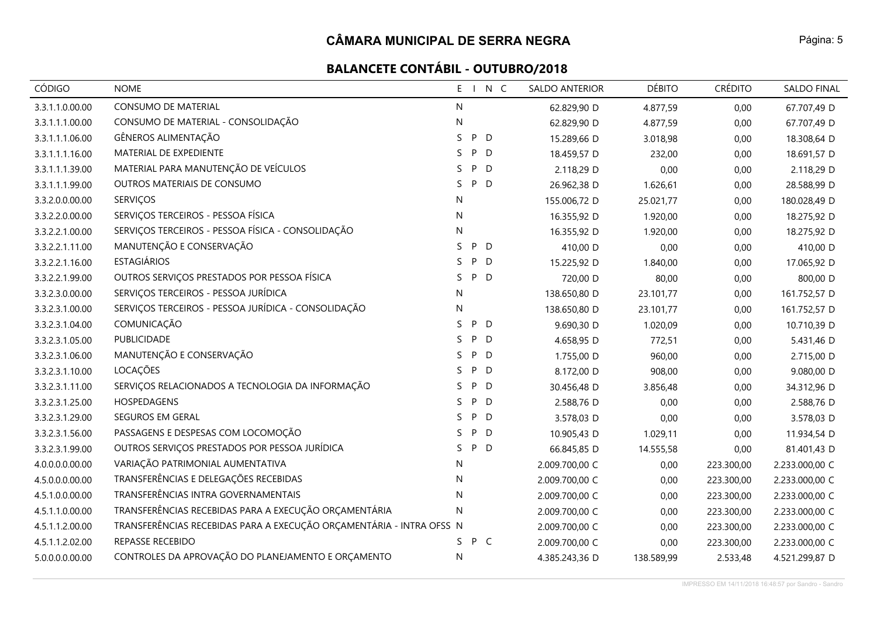| <b>CÓDIGO</b>   | <b>NOME</b>                                                          | $E - I$      | N C          | SALDO ANTERIOR | <b>DÉBITO</b> | <b>CRÉDITO</b> | SALDO FINAL    |
|-----------------|----------------------------------------------------------------------|--------------|--------------|----------------|---------------|----------------|----------------|
| 3.3.1.1.0.00.00 | CONSUMO DE MATERIAL                                                  | N            |              | 62.829,90 D    | 4.877,59      | 0,00           | 67.707,49 D    |
| 3.3.1.1.1.00.00 | CONSUMO DE MATERIAL - CONSOLIDAÇÃO                                   | $\mathsf{N}$ |              | 62.829,90 D    | 4.877,59      | 0,00           | 67.707,49 D    |
| 3.3.1.1.1.06.00 | GÊNEROS ALIMENTAÇÃO                                                  | S.           | P D          | 15.289,66 D    | 3.018,98      | 0,00           | 18.308,64 D    |
| 3.3.1.1.1.16.00 | MATERIAL DE EXPEDIENTE                                               | S.           | P D          | 18.459,57 D    | 232,00        | 0,00           | 18.691,57 D    |
| 3.3.1.1.1.39.00 | MATERIAL PARA MANUTENÇÃO DE VEÍCULOS                                 | S            | P D          | 2.118,29 D     | 0,00          | 0,00           | 2.118,29 D     |
| 3.3.1.1.1.99.00 | OUTROS MATERIAIS DE CONSUMO                                          | S.           | P D          | 26.962,38 D    | 1.626,61      | 0,00           | 28.588,99 D    |
| 3.3.2.0.0.00.00 | <b>SERVIÇOS</b>                                                      | N.           |              | 155.006,72 D   | 25.021,77     | 0,00           | 180.028,49 D   |
| 3.3.2.2.0.00.00 | SERVIÇOS TERCEIROS - PESSOA FÍSICA                                   | N            |              | 16.355,92 D    | 1.920,00      | 0,00           | 18.275,92 D    |
| 3.3.2.2.1.00.00 | SERVIÇOS TERCEIROS - PESSOA FÍSICA - CONSOLIDAÇÃO                    | N            |              | 16.355,92 D    | 1.920,00      | 0,00           | 18.275,92 D    |
| 3.3.2.2.1.11.00 | MANUTENÇÃO E CONSERVAÇÃO                                             | S            | P D          | 410,00 D       | 0,00          | 0,00           | 410,00 D       |
| 3.3.2.2.1.16.00 | <b>ESTAGIÁRIOS</b>                                                   | S.           | P D          | 15.225,92 D    | 1.840,00      | 0,00           | 17.065,92 D    |
| 3.3.2.2.1.99.00 | OUTROS SERVIÇOS PRESTADOS POR PESSOA FÍSICA                          | P<br>S.      | D            | 720,00 D       | 80,00         | 0,00           | 800,00 D       |
| 3.3.2.3.0.00.00 | SERVIÇOS TERCEIROS - PESSOA JURÍDICA                                 | N.           |              | 138.650,80 D   | 23.101,77     | 0,00           | 161.752,57 D   |
| 3.3.2.3.1.00.00 | SERVIÇOS TERCEIROS - PESSOA JURÍDICA - CONSOLIDAÇÃO                  | N            |              | 138.650,80 D   | 23.101,77     | 0,00           | 161.752,57 D   |
| 3.3.2.3.1.04.00 | COMUNICAÇÃO                                                          | S.           | P D          | 9.690,30 D     | 1.020,09      | 0,00           | 10.710,39 D    |
| 3.3.2.3.1.05.00 | PUBLICIDADE                                                          | S.           | P D          | 4.658,95 D     | 772,51        | 0,00           | 5.431,46 D     |
| 3.3.2.3.1.06.00 | MANUTENÇÃO E CONSERVAÇÃO                                             | P<br>S.      | D            | 1.755,00 D     | 960,00        | 0,00           | 2.715,00 D     |
| 3.3.2.3.1.10.00 | LOCAÇÕES                                                             | S.           | P D          | 8.172,00 D     | 908,00        | 0,00           | 9.080,00 D     |
| 3.3.2.3.1.11.00 | SERVIÇOS RELACIONADOS A TECNOLOGIA DA INFORMAÇÃO                     | S.           | P D          | 30.456,48 D    | 3.856,48      | 0,00           | 34.312,96 D    |
| 3.3.2.3.1.25.00 | HOSPEDAGENS                                                          | S.<br>P      | $\mathsf{D}$ | 2.588,76 D     | 0,00          | 0,00           | 2.588,76 D     |
| 3.3.2.3.1.29.00 | SEGUROS EM GERAL                                                     | S.           | P D          | 3.578,03 D     | 0,00          | 0,00           | 3.578,03 D     |
| 3.3.2.3.1.56.00 | PASSAGENS E DESPESAS COM LOCOMOÇÃO                                   | P<br>S.      | $\mathsf{D}$ | 10.905,43 D    | 1.029,11      | 0,00           | 11.934,54 D    |
| 3.3.2.3.1.99.00 | OUTROS SERVIÇOS PRESTADOS POR PESSOA JURÍDICA                        | S.           | P D          | 66.845,85 D    | 14.555,58     | 0,00           | 81.401,43 D    |
| 4.0.0.0.0.00.00 | VARIAÇÃO PATRIMONIAL AUMENTATIVA                                     | N.           |              | 2.009.700,00 C | 0,00          | 223.300,00     | 2.233.000,00 C |
| 4.5.0.0.0.00.00 | TRANSFERÊNCIAS E DELEGAÇÕES RECEBIDAS                                | N            |              | 2.009.700,00 C | 0,00          | 223.300,00     | 2.233.000,00 C |
| 4.5.1.0.0.00.00 | TRANSFERÊNCIAS INTRA GOVERNAMENTAIS                                  | N.           |              | 2.009.700,00 C | 0,00          | 223.300,00     | 2.233.000,00 C |
| 4.5.1.1.0.00.00 | TRANSFERÊNCIAS RECEBIDAS PARA A EXECUÇÃO ORÇAMENTÁRIA                | N            |              | 2.009.700,00 C | 0,00          | 223.300,00     | 2.233.000,00 C |
| 4.5.1.1.2.00.00 | TRANSFERÊNCIAS RECEBIDAS PARA A EXECUÇÃO ORÇAMENTÁRIA - INTRA OFSS N |              |              | 2.009.700,00 C | 0,00          | 223.300,00     | 2.233.000,00 C |
| 4.5.1.1.2.02.00 | REPASSE RECEBIDO                                                     | S.           | P C          | 2.009.700,00 C | 0,00          | 223.300,00     | 2.233.000,00 C |
| 5.0.0.0.0.00.00 | CONTROLES DA APROVAÇÃO DO PLANEJAMENTO E ORÇAMENTO                   | N            |              | 4.385.243,36 D | 138.589,99    | 2.533,48       | 4.521.299,87 D |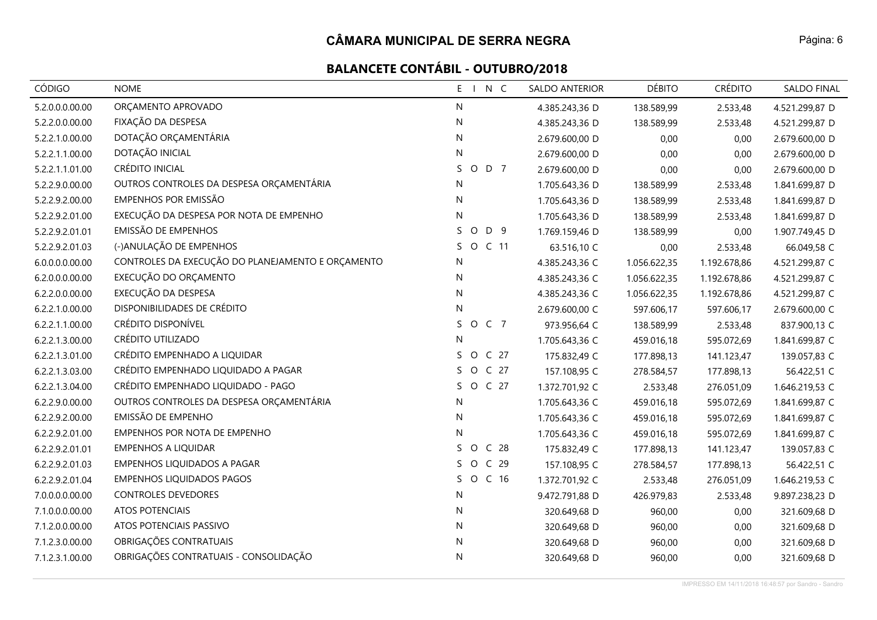| <b>CÓDIGO</b>   | <b>NOME</b>                                       | N C<br>$E - I$                   | <b>SALDO ANTERIOR</b> | <b>DÉBITO</b> | <b>CRÉDITO</b> | <b>SALDO FINAL</b> |
|-----------------|---------------------------------------------------|----------------------------------|-----------------------|---------------|----------------|--------------------|
| 5.2.0.0.0.00.00 | ORÇAMENTO APROVADO                                | N                                | 4.385.243,36 D        | 138.589,99    | 2.533,48       | 4.521.299,87 D     |
| 5.2.2.0.0.00.00 | FIXAÇÃO DA DESPESA                                | N                                | 4.385.243,36 D        | 138.589,99    | 2.533,48       | 4.521.299,87 D     |
| 5.2.2.1.0.00.00 | DOTAÇÃO ORÇAMENTÁRIA                              | N                                | 2.679.600,00 D        | 0,00          | 0,00           | 2.679.600,00 D     |
| 5.2.2.1.1.00.00 | DOTAÇÃO INICIAL                                   | N                                | 2.679.600,00 D        | 0,00          | 0,00           | 2.679.600,00 D     |
| 5.2.2.1.1.01.00 | CRÉDITO INICIAL                                   | S.<br>D 7<br>$\circ$             | 2.679.600,00 D        | 0,00          | 0,00           | 2.679.600,00 D     |
| 5.2.2.9.0.00.00 | OUTROS CONTROLES DA DESPESA ORÇAMENTÁRIA          | N                                | 1.705.643,36 D        | 138.589,99    | 2.533,48       | 1.841.699,87 D     |
| 5.2.2.9.2.00.00 | <b>EMPENHOS POR EMISSÃO</b>                       | N                                | 1.705.643,36 D        | 138.589,99    | 2.533,48       | 1.841.699,87 D     |
| 5.2.2.9.2.01.00 | EXECUÇÃO DA DESPESA POR NOTA DE EMPENHO           | ${\sf N}$                        | 1.705.643,36 D        | 138.589,99    | 2.533,48       | 1.841.699,87 D     |
| 5.2.2.9.2.01.01 | EMISSÃO DE EMPENHOS                               | S.<br>$\circ$<br>D 9             | 1.769.159,46 D        | 138.589,99    | 0,00           | 1.907.749,45 D     |
| 5.2.2.9.2.01.03 | (-)ANULAÇÃO DE EMPENHOS                           | S.<br>O C 11                     | 63.516,10 C           | 0,00          | 2.533,48       | 66.049,58 C        |
| 6.0.0.0.0.00.00 | CONTROLES DA EXECUÇÃO DO PLANEJAMENTO E ORÇAMENTO | N                                | 4.385.243,36 C        | 1.056.622,35  | 1.192.678,86   | 4.521.299,87 C     |
| 6.2.0.0.0.00.00 | EXECUÇÃO DO ORÇAMENTO                             | N                                | 4.385.243,36 C        | 1.056.622,35  | 1.192.678,86   | 4.521.299,87 C     |
| 6.2.2.0.0.00.00 | EXECUÇÃO DA DESPESA                               | $\mathsf{N}$                     | 4.385.243,36 C        | 1.056.622,35  | 1.192.678,86   | 4.521.299,87 C     |
| 6.2.2.1.0.00.00 | DISPONIBILIDADES DE CRÉDITO                       | N                                | 2.679.600,00 C        | 597.606,17    | 597.606,17     | 2.679.600,00 C     |
| 6.2.2.1.1.00.00 | CRÉDITO DISPONÍVEL                                | O C 7<br>S.                      | 973.956,64 C          | 138.589,99    | 2.533,48       | 837.900,13 C       |
| 6.2.2.1.3.00.00 | CRÉDITO UTILIZADO                                 | N                                | 1.705.643,36 C        | 459.016,18    | 595.072,69     | 1.841.699,87 C     |
| 6.2.2.1.3.01.00 | CRÉDITO EMPENHADO A LIQUIDAR                      | O C 27<br>S.                     | 175.832,49 C          | 177.898,13    | 141.123,47     | 139.057,83 C       |
| 6.2.2.1.3.03.00 | CRÉDITO EMPENHADO LIQUIDADO A PAGAR               | O C 27<br>S.                     | 157.108,95 C          | 278.584,57    | 177.898,13     | 56.422,51 C        |
| 6.2.2.1.3.04.00 | CRÉDITO EMPENHADO LIQUIDADO - PAGO                | O C 27<br>S.                     | 1.372.701,92 C        | 2.533,48      | 276.051,09     | 1.646.219,53 C     |
| 6.2.2.9.0.00.00 | OUTROS CONTROLES DA DESPESA ORÇAMENTÁRIA          | N                                | 1.705.643,36 C        | 459.016,18    | 595.072,69     | 1.841.699,87 C     |
| 6.2.2.9.2.00.00 | EMISSÃO DE EMPENHO                                | N                                | 1.705.643,36 C        | 459.016,18    | 595.072,69     | 1.841.699,87 C     |
| 6.2.2.9.2.01.00 | EMPENHOS POR NOTA DE EMPENHO                      | N                                | 1.705.643,36 C        | 459.016,18    | 595.072,69     | 1.841.699,87 C     |
| 6.2.2.9.2.01.01 | <b>EMPENHOS A LIQUIDAR</b>                        | S<br>O<br>C <sub>28</sub>        | 175.832,49 C          | 177.898,13    | 141.123,47     | 139.057,83 C       |
| 6.2.2.9.2.01.03 | <b>EMPENHOS LIQUIDADOS A PAGAR</b>                | $\circ$<br>S.<br>C <sub>29</sub> | 157.108,95 C          | 278.584,57    | 177.898,13     | 56.422,51 C        |
| 6.2.2.9.2.01.04 | <b>EMPENHOS LIQUIDADOS PAGOS</b>                  | S.<br>O C 16                     | 1.372.701,92 C        | 2.533,48      | 276.051,09     | 1.646.219,53 C     |
| 7.0.0.0.0.00.00 | <b>CONTROLES DEVEDORES</b>                        | $\mathsf{N}$                     | 9.472.791,88 D        | 426.979,83    | 2.533,48       | 9.897.238,23 D     |
| 7.1.0.0.0.00.00 | ATOS POTENCIAIS                                   | N                                | 320.649,68 D          | 960,00        | 0,00           | 321.609,68 D       |
| 7.1.2.0.0.00.00 | ATOS POTENCIAIS PASSIVO                           | N                                | 320.649,68 D          | 960,00        | 0,00           | 321.609,68 D       |
| 7.1.2.3.0.00.00 | OBRIGAÇÕES CONTRATUAIS                            | N                                | 320.649,68 D          | 960,00        | 0,00           | 321.609,68 D       |
| 7.1.2.3.1.00.00 | OBRIGAÇÕES CONTRATUAIS - CONSOLIDAÇÃO             | N                                | 320.649,68 D          | 960,00        | 0,00           | 321.609,68 D       |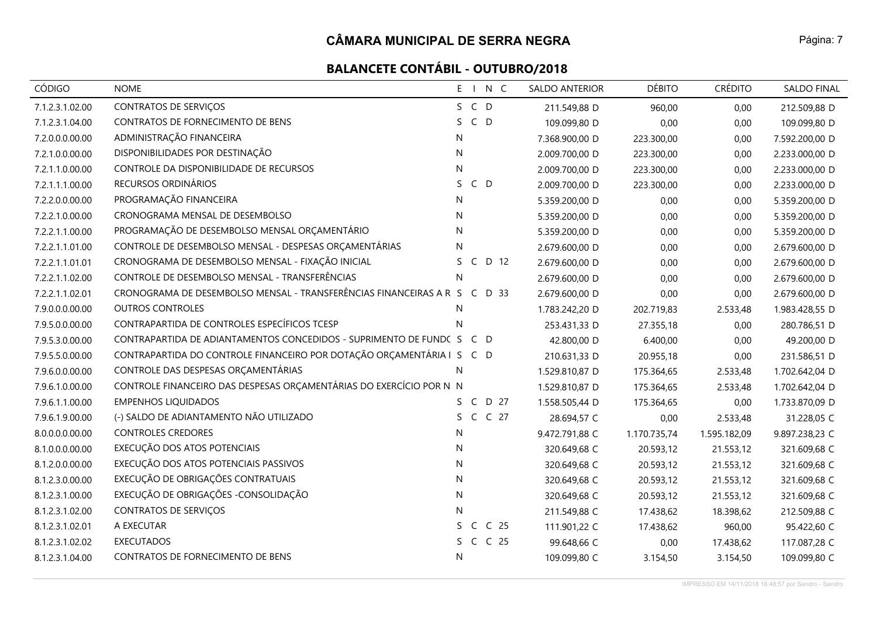| CÓDIGO          | <b>NOME</b>                                                               | E I N C                    | SALDO ANTERIOR | <b>DÉBITO</b> | <b>CRÉDITO</b> | <b>SALDO FINAL</b> |
|-----------------|---------------------------------------------------------------------------|----------------------------|----------------|---------------|----------------|--------------------|
| 7.1.2.3.1.02.00 | CONTRATOS DE SERVIÇOS                                                     | S C D                      | 211.549,88 D   | 960,00        | 0,00           | 212.509,88 D       |
| 7.1.2.3.1.04.00 | CONTRATOS DE FORNECIMENTO DE BENS                                         | S.<br>$C$ D                | 109.099,80 D   | 0,00          | 0,00           | 109.099,80 D       |
| 7.2.0.0.0.00.00 | ADMINISTRAÇÃO FINANCEIRA                                                  | N                          | 7.368.900,00 D | 223.300,00    | 0,00           | 7.592.200,00 D     |
| 7.2.1.0.0.00.00 | DISPONIBILIDADES POR DESTINAÇÃO                                           | N                          | 2.009.700,00 D | 223.300,00    | 0,00           | 2.233.000,00 D     |
| 7.2.1.1.0.00.00 | CONTROLE DA DISPONIBILIDADE DE RECURSOS                                   | N                          | 2.009.700,00 D | 223.300,00    | 0,00           | 2.233.000,00 D     |
| 7.2.1.1.1.00.00 | RECURSOS ORDINÁRIOS                                                       | $C$ D<br>S.                | 2.009.700,00 D | 223.300,00    | 0,00           | 2.233.000,00 D     |
| 7.2.2.0.0.00.00 | PROGRAMAÇÃO FINANCEIRA                                                    | N                          | 5.359.200,00 D | 0,00          | 0,00           | 5.359.200,00 D     |
| 7.2.2.1.0.00.00 | CRONOGRAMA MENSAL DE DESEMBOLSO                                           | N                          | 5.359.200,00 D | 0,00          | 0,00           | 5.359.200,00 D     |
| 7.2.2.1.1.00.00 | PROGRAMAÇÃO DE DESEMBOLSO MENSAL ORÇAMENTÁRIO                             | N                          | 5.359.200,00 D | 0,00          | 0,00           | 5.359.200,00 D     |
| 7.2.2.1.1.01.00 | CONTROLE DE DESEMBOLSO MENSAL - DESPESAS ORÇAMENTÁRIAS                    | N                          | 2.679.600,00 D | 0,00          | 0,00           | 2.679.600,00 D     |
| 7.2.2.1.1.01.01 | CRONOGRAMA DE DESEMBOLSO MENSAL - FIXAÇÃO INICIAL                         | D 12<br>S.<br>$\mathsf{C}$ | 2.679.600,00 D | 0,00          | 0,00           | 2.679.600,00 D     |
| 7.2.2.1.1.02.00 | CONTROLE DE DESEMBOLSO MENSAL - TRANSFERÊNCIAS                            | N                          | 2.679.600,00 D | 0,00          | 0,00           | 2.679.600,00 D     |
| 7.2.2.1.1.02.01 | CRONOGRAMA DE DESEMBOLSO MENSAL - TRANSFERÊNCIAS FINANCEIRAS A R S C D 33 |                            | 2.679.600,00 D | 0,00          | 0,00           | 2.679.600,00 D     |
| 7.9.0.0.0.00.00 | <b>OUTROS CONTROLES</b>                                                   | N                          | 1.783.242,20 D | 202.719,83    | 2.533,48       | 1.983.428,55 D     |
| 7.9.5.0.0.00.00 | CONTRAPARTIDA DE CONTROLES ESPECÍFICOS TCESP                              | N                          | 253.431,33 D   | 27.355,18     | 0,00           | 280.786,51 D       |
| 7.9.5.3.0.00.00 | CONTRAPARTIDA DE ADIANTAMENTOS CONCEDIDOS - SUPRIMENTO DE FUND(STEPT)     |                            | 42.800,00 D    | 6.400,00      | 0,00           | 49.200,00 D        |
| 7.9.5.5.0.00.00 | CONTRAPARTIDA DO CONTROLE FINANCEIRO POR DOTAÇÃO ORÇAMENTÁRIA I S C D     |                            | 210.631,33 D   | 20.955,18     | 0,00           | 231.586,51 D       |
| 7.9.6.0.0.00.00 | CONTROLE DAS DESPESAS ORÇAMENTÁRIAS                                       | N                          | 1.529.810,87 D | 175.364,65    | 2.533,48       | 1.702.642,04 D     |
| 7.9.6.1.0.00.00 | CONTROLE FINANCEIRO DAS DESPESAS ORÇAMENTÁRIAS DO EXERCÍCIO POR N N       |                            | 1.529.810,87 D | 175.364,65    | 2.533,48       | 1.702.642,04 D     |
| 7.9.6.1.1.00.00 | <b>EMPENHOS LIQUIDADOS</b>                                                | $\mathsf{C}$<br>D 27<br>S. | 1.558.505,44 D | 175.364,65    | 0,00           | 1.733.870,09 D     |
| 7.9.6.1.9.00.00 | (-) SALDO DE ADIANTAMENTO NÃO UTILIZADO                                   | C C 27<br>S.               | 28.694,57 C    | 0,00          | 2.533,48       | 31.228,05 C        |
| 8.0.0.0.0.00.00 | <b>CONTROLES CREDORES</b>                                                 | N.                         | 9.472.791,88 C | 1.170.735,74  | 1.595.182,09   | 9.897.238,23 C     |
| 8.1.0.0.0.00.00 | EXECUÇÃO DOS ATOS POTENCIAIS                                              | N                          | 320.649,68 C   | 20.593,12     | 21.553,12      | 321.609,68 C       |
| 8.1.2.0.0.00.00 | EXECUÇÃO DOS ATOS POTENCIAIS PASSIVOS                                     | N                          | 320.649,68 C   | 20.593,12     | 21.553,12      | 321.609,68 C       |
| 8.1.2.3.0.00.00 | EXECUÇÃO DE OBRIGAÇÕES CONTRATUAIS                                        | N                          | 320.649,68 C   | 20.593,12     | 21.553,12      | 321.609,68 C       |
| 8.1.2.3.1.00.00 | EXECUÇÃO DE OBRIGAÇÕES - CONSOLIDAÇÃO                                     | ${\sf N}$                  | 320.649,68 C   | 20.593,12     | 21.553,12      | 321.609,68 C       |
| 8.1.2.3.1.02.00 | <b>CONTRATOS DE SERVIÇOS</b>                                              | N                          | 211.549,88 C   | 17.438,62     | 18.398,62      | 212.509,88 C       |
| 8.1.2.3.1.02.01 | A EXECUTAR                                                                | C C 25<br>S.               | 111.901,22 C   | 17.438,62     | 960,00         | 95.422,60 C        |
| 8.1.2.3.1.02.02 | <b>EXECUTADOS</b>                                                         | S C C 25                   | 99.648,66 C    | 0,00          | 17.438,62      | 117.087,28 C       |
| 8.1.2.3.1.04.00 | CONTRATOS DE FORNECIMENTO DE BENS                                         | N                          | 109.099,80 C   | 3.154,50      | 3.154,50       | 109.099,80 C       |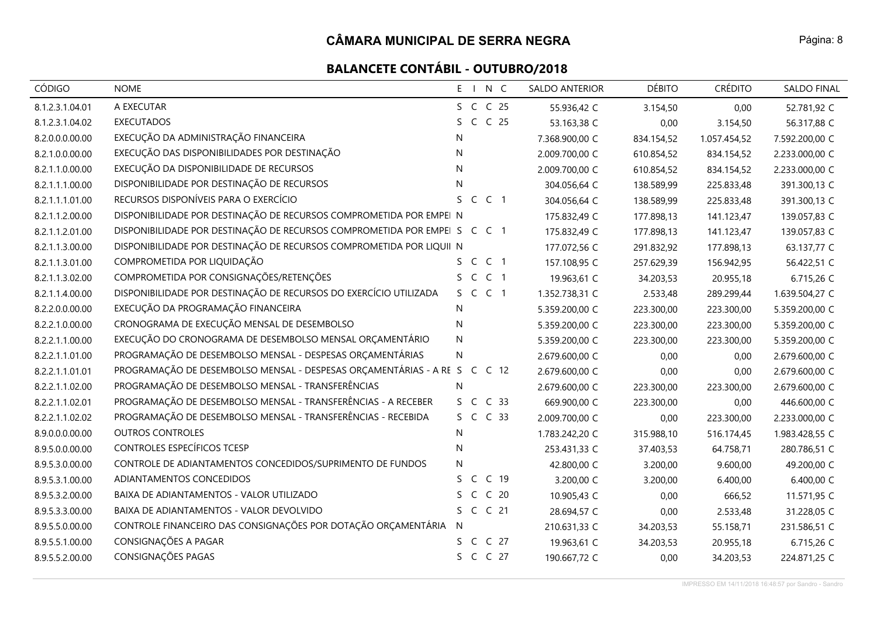# **BALANCETE CONTÁBIL - OUTUBRO/2018**

| <b>CÓDIGO</b>   | <b>NOME</b>                                                               | E I N C                         | <b>SALDO ANTERIOR</b> | <b>DÉBITO</b> | <b>CRÉDITO</b> | <b>SALDO FINAL</b> |
|-----------------|---------------------------------------------------------------------------|---------------------------------|-----------------------|---------------|----------------|--------------------|
| 8.1.2.3.1.04.01 | A EXECUTAR                                                                | S C C 25                        | 55.936,42 C           | 3.154,50      | 0,00           | 52.781,92 C        |
| 8.1.2.3.1.04.02 | <b>EXECUTADOS</b>                                                         | C C 25<br>S.                    | 53.163,38 C           | 0,00          | 3.154,50       | 56.317,88 C        |
| 8.2.0.0.0.00.00 | EXECUÇÃO DA ADMINISTRAÇÃO FINANCEIRA                                      | N                               | 7.368.900,00 C        | 834.154,52    | 1.057.454,52   | 7.592.200,00 C     |
| 8.2.1.0.0.00.00 | EXECUÇÃO DAS DISPONIBILIDADES POR DESTINAÇÃO                              | N                               | 2.009.700,00 C        | 610.854,52    | 834.154,52     | 2.233.000,00 C     |
| 8.2.1.1.0.00.00 | EXECUÇÃO DA DISPONIBILIDADE DE RECURSOS                                   | $\mathsf{N}$                    | 2.009.700,00 C        | 610.854,52    | 834.154,52     | 2.233.000,00 C     |
| 8.2.1.1.1.00.00 | DISPONIBILIDADE POR DESTINAÇÃO DE RECURSOS                                | N                               | 304.056,64 C          | 138.589,99    | 225.833,48     | 391.300,13 C       |
| 8.2.1.1.1.01.00 | RECURSOS DISPONÍVEIS PARA O EXERCÍCIO                                     | S.<br>$C$ $C$ 1                 | 304.056,64 C          | 138.589,99    | 225.833,48     | 391.300,13 C       |
| 8.2.1.1.2.00.00 | DISPONIBILIDADE POR DESTINAÇÃO DE RECURSOS COMPROMETIDA POR EMPEI N       |                                 | 175.832,49 C          | 177.898,13    | 141.123,47     | 139.057,83 C       |
| 8.2.1.1.2.01.00 | DISPONIBILIDADE POR DESTINAÇÃO DE RECURSOS COMPROMETIDA POR EMPEI S C C 1 |                                 | 175.832,49 C          | 177.898,13    | 141.123,47     | 139.057,83 C       |
| 8.2.1.1.3.00.00 | DISPONIBILIDADE POR DESTINAÇÃO DE RECURSOS COMPROMETIDA POR LIQUII N      |                                 | 177.072,56 C          | 291.832,92    | 177.898,13     | 63.137,77 C        |
| 8.2.1.1.3.01.00 | COMPROMETIDA POR LIQUIDAÇÃO                                               | S C C 1                         | 157.108,95 C          | 257.629,39    | 156.942,95     | 56.422,51 C        |
| 8.2.1.1.3.02.00 | COMPROMETIDA POR CONSIGNAÇÕES/RETENÇÕES                                   | S C C 1                         | 19.963,61 C           | 34.203,53     | 20.955,18      | 6.715,26 C         |
| 8.2.1.1.4.00.00 | DISPONIBILIDADE POR DESTINAÇÃO DE RECURSOS DO EXERCÍCIO UTILIZADA         | S C C 1                         | 1.352.738,31 C        | 2.533,48      | 289.299,44     | 1.639.504,27 C     |
| 8.2.2.0.0.00.00 | EXECUÇÃO DA PROGRAMAÇÃO FINANCEIRA                                        | N                               | 5.359.200,00 C        | 223.300,00    | 223.300,00     | 5.359.200,00 C     |
| 8.2.2.1.0.00.00 | CRONOGRAMA DE EXECUÇÃO MENSAL DE DESEMBOLSO                               | N                               | 5.359.200,00 C        | 223.300,00    | 223.300,00     | 5.359.200,00 C     |
| 8.2.2.1.1.00.00 | EXECUÇÃO DO CRONOGRAMA DE DESEMBOLSO MENSAL ORÇAMENTÁRIO                  | N                               | 5.359.200,00 C        | 223.300,00    | 223.300,00     | 5.359.200,00 C     |
| 8.2.2.1.1.01.00 | PROGRAMAÇÃO DE DESEMBOLSO MENSAL - DESPESAS ORÇAMENTÁRIAS                 | <sup>N</sup>                    | 2.679.600,00 C        | 0,00          | 0,00           | 2.679.600,00 C     |
| 8.2.2.1.1.01.01 | PROGRAMAÇÃO DE DESEMBOLSO MENSAL - DESPESAS ORÇAMENTÁRIAS - A RE S C C 12 |                                 | 2.679.600,00 C        | 0,00          | 0,00           | 2.679.600,00 C     |
| 8.2.2.1.1.02.00 | PROGRAMAÇÃO DE DESEMBOLSO MENSAL - TRANSFERÊNCIAS                         | N                               | 2.679.600,00 C        | 223.300,00    | 223.300,00     | 2.679.600,00 C     |
| 8.2.2.1.1.02.01 | PROGRAMAÇÃO DE DESEMBOLSO MENSAL - TRANSFERÊNCIAS - A RECEBER             | S C C 33                        | 669.900,00 C          | 223.300,00    | 0,00           | 446.600,00 C       |
| 8.2.2.1.1.02.02 | PROGRAMAÇÃO DE DESEMBOLSO MENSAL - TRANSFERÊNCIAS - RECEBIDA              | S C C 33                        | 2.009.700,00 C        | 0,00          | 223.300,00     | 2.233.000,00 C     |
| 8.9.0.0.0.00.00 | <b>OUTROS CONTROLES</b>                                                   | N                               | 1.783.242,20 C        | 315.988,10    | 516.174,45     | 1.983.428,55 C     |
| 8.9.5.0.0.00.00 | CONTROLES ESPECÍFICOS TCESP                                               | N                               | 253.431,33 C          | 37.403,53     | 64.758,71      | 280.786,51 C       |
| 8.9.5.3.0.00.00 | CONTROLE DE ADIANTAMENTOS CONCEDIDOS/SUPRIMENTO DE FUNDOS                 | N                               | 42.800,00 C           | 3.200,00      | 9.600,00       | 49.200,00 C        |
| 8.9.5.3.1.00.00 | ADIANTAMENTOS CONCEDIDOS                                                  | $\mathsf{C}$<br>$C$ 19<br>S.    | 3.200,00 C            | 3.200,00      | 6.400,00       | 6.400,00 C         |
| 8.9.5.3.2.00.00 | BAIXA DE ADIANTAMENTOS - VALOR UTILIZADO                                  | C <sub>20</sub><br>$\mathsf{C}$ | 10.905,43 C           | 0,00          | 666,52         | 11.571,95 C        |
| 8.9.5.3.3.00.00 | BAIXA DE ADIANTAMENTOS - VALOR DEVOLVIDO                                  | S C C 21                        | 28.694,57 C           | 0,00          | 2.533,48       | 31.228,05 C        |
| 8.9.5.5.0.00.00 | CONTROLE FINANCEIRO DAS CONSIGNAÇÕES POR DOTAÇÃO ORÇAMENTÁRIA             | N                               | 210.631,33 C          | 34.203,53     | 55.158,71      | 231.586,51 C       |
| 8.9.5.5.1.00.00 | CONSIGNAÇÕES A PAGAR                                                      | S C C 27                        | 19.963,61 C           | 34.203,53     | 20.955,18      | 6.715,26 C         |
| 8.9.5.5.2.00.00 | CONSIGNAÇÕES PAGAS                                                        | S C C 27                        | 190.667,72 C          | 0,00          | 34.203,53      | 224.871,25 C       |

Página: 8